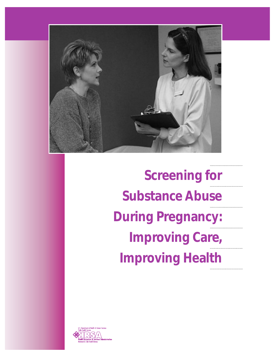

**Screening for Substance Abuse During Pregnancy: Improving Care, Improving Health**

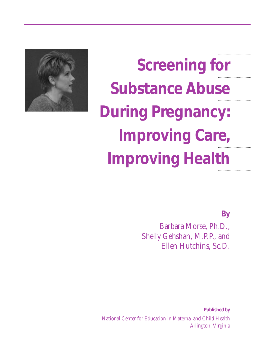

**Screening for Substance Abuse During Pregnancy: Improving Care, Improving Health**

*By*

Barbara Morse, Ph.D., Shelly Gehshan, M.P.P., and Ellen Hutchins, Sc.D.

*Published by* National Center for Education in Maternal and Child Health Arlington, Virginia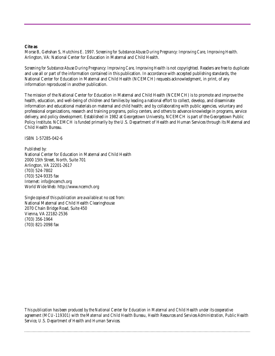#### **Cite as**

Morse B, Gehshan S, Hutchins E. 1997. *Screening for Substance Abuse During Pregnancy: Improving Care, Improving Health.* Arlington, VA: National Center for Education in Maternal and Child Health.

*Screening for Substance Abuse During Pregnancy: Improving Care, Improving Health* is not copyrighted. Readers are free to duplicate and use all or part of the information contained in this publication. In accordance with accepted publishing standards, the National Center for Education in Maternal and Child Health (NCEMCH) requests acknowledgment, in print, of any information reproduced in another publication.

The mission of the National Center for Education in Maternal and Child Health (NCEMCH) is to promote and improve the health, education, and well-being of children and families by leading a national effort to collect, develop, and disseminate information and educational materials on maternal and child health; and by collaborating with public agencies, voluntary and professional organizations, research and training programs, policy centers, and others to advance knowledge in programs, service delivery, and policy development. Established in 1982 at Georgetown University, NCEMCH is part of the Georgetown Public Policy Institute. NCEMCH is funded primarily by the U.S. Department of Health and Human Services through its Maternal and Child Health Bureau.

ISBN 1-57285-042-6

#### *Published by:*

National Center for Education in Maternal and Child Health 2000 15th Street, North, Suite 701 Arlington, VA 22201-2617 (703) 524-7802 (703) 524-9335 fax Internet: info@ncemch.org World Wide Web: http://www.ncemch.org

*Single copies of this publication are available at no cost from:* National Maternal and Child Health Clearinghouse 2070 Chain Bridge Road, Suite 450 Vienna, VA 22182-2536 (703) 356-1964 (703) 821-2098 fax

*This publication has been produced by the National Center for Education in Maternal and Child Health under its cooperative agreement (MCU-119301) with the Maternal and Child Health Bureau, Health Resources and Services Administration, Public Health Service, U.S. Department of Health and Human Services.*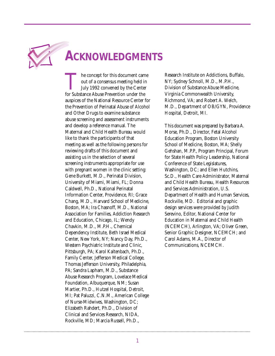

### **ACKNOWLEDGMENTS**

The concept for this document came<br>out of a consensus meeting held in<br>July 1992 convened by the Center<br>for Substance Abuse Prevention under the out of a consensus meeting held in July 1992 convened by the Center for Substance Abuse Prevention under the auspices of the National Resource Center for the Prevention of Perinatal Abuse of Alcohol and Other Drugs to examine substance abuse screening and assessment instruments and develop a reference manual. The Maternal and Child Health Bureau would like to thank the participants of that meeting as well as the following persons for reviewing drafts of this document and assisting us in the selection of several screening instruments appropriate for use with pregnant women in the clinic setting: Gene Burkett, M.D., Perinatal Division, University of Miami, Miami, FL; Donna Caldwell, Ph.D., National Perinatal Information Center, Providence, RI; Grace Chang, M.D., Harvard School of Medicine, Boston, MA; Ira Chasnoff, M.D., National Association for Families, Addiction Research and Education, Chicago, IL; Wendy Chavkin, M.D., M.P.H., Chemical Dependency Institute, Beth Israel Medical Center, New York, NY; Nancy Day, Ph.D., Western Psychiatric Institute and Clinic, Pittsburgh, PA; Karol Kaltenbach, Ph.D., Family Center, Jefferson Medical College, Thomas Jefferson University, Philadelphia, PA; Sandra Lapham, M.D., Substance Abuse Research Program, Lovelace Medical Foundation, Albuquerque, NM; Susan Martier, Ph.D., Hutzel Hospital, Detroit, MI; Pat Paluzzi, C.N.M., American College of Nurse-Midwives, Washington, DC; Elizabeth Rahdert, Ph.D., Division of Clinical and Services Research, NIDA, Rockville, MD; Marcia Russell, Ph.D.,

Research Institute on Addictions, Buffalo, NY; Sydney Schnoll, M.D., M.P.H., Division of Substance Abuse Medicine, Virginia Commonwealth University, Richmond, VA; and Robert A. Welch, M.D., Department of OB/GYN, Providence Hospital, Detroit, MI.

This document was prepared by Barbara A. Morse, Ph.D., Director, Fetal Alcohol Education Program, Boston University School of Medicine, Boston, MA; Shelly Gehshan, M.P.P., Program Principal, Forum for State Health Policy Leadership, National Conference of State Legislatures, Washington, DC; and Ellen Hutchins, Sc.D., Health Care Administrator, Maternal and Child Health Bureau, Health Resources and Services Administration, U.S. Department of Health and Human Services, Rockville, MD. Editorial and graphic design services were provided by Judith Serevino, Editor, National Center for Education in Maternal and Child Health (NCEMCH), Arlington, VA; Oliver Green, Senior Graphic Designer, NCEMCH; and Carol Adams, M.A., Director of Communications, NCEMCH.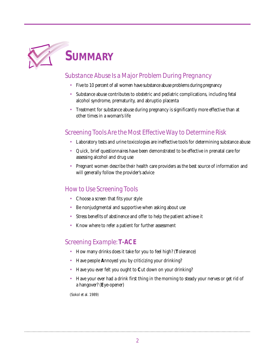

### *Substance Abuse Is a Major Problem During Pregnancy*

- Five to 10 percent of all women have substance abuse problems during pregnancy
- Substance abuse contributes to obstetric and pediatric complications, including fetal alcohol syndrome, prematurity, and abruptio placenta
- Treatment for substance abuse during pregnancy is significantly more effective than at other times in a woman's life

### *Screening Tools Are the Most Effective Way to Determine Risk*

- Laboratory tests and urine toxicologies are ineffective tools for determining substance abuse
- Quick, brief questionnaires have been demonstrated to be effective in prenatal care for assessing alcohol and drug use
- Pregnant women describe their health care providers as the best source of information and will generally follow the provider's advice

### *How to Use Screening Tools*

- Choose a screen that fits your style
- Be nonjudgmental and supportive when asking about use
- Stress benefits of abstinence and offer to help the patient achieve it
- Know where to refer a patient for further assessment

### *Screening Example:***T-ACE**

- How many drinks does it take for you to feel high? (**T**olerance)
- Have people **A**nnoyed you by criticizing your drinking?
- Have you ever felt you ought to **C**ut down on your drinking?
- Have your ever had a drink first thing in the morning to steady your nerves or get rid of a hangover? (**E**ye-opener)

(Sokol et al. 1989)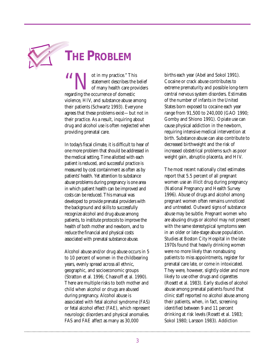

## **THE PROBLEM**

**1999 Statement describes the statement describes the of many health care pro regarding the occurrence of domestic** statement describes the belief of many health care providers violence, HIV, and substance abuse among their patients (Schwartz 1993). Everyone agrees that these problems exist—but not in their practice. As a result, inquiring about drug and alcohol use is often neglected when providing prenatal care.

In today's fiscal climate, it is difficult to hear of one more problem that should be addressed in the medical setting. Time allotted with each patient is reduced, and successful practice is measured by cost containment as often as by patients' health. Yet attention to substance abuse problems during pregnancy is one area in which patient health can be improved and costs can be reduced. This manual was developed to provide prenatal providers with the background and skills to successfully recognize alcohol and drug abuse among patients, to institute protocols to improve the health of both mother and newborn, and to reduce the financial and physical costs associated with prenatal substance abuse.

Alcohol abuse and/or drug abuse occurs in 5 to 10 percent of women in the childbearing years, evenly spread across all ethnic, geographic, and socioeconomic groups (Stratton et al. 1996; Chasnoff et al. 1990). There are multiple risks to both mother and child when alcohol or drugs are abused during pregnancy. Alcohol abuse is associated with fetal alcohol syndrome (FAS) or fetal alcohol effect (FAE), which represent neurologic disorders and physical anomalies. FAS and FAE affect as many as 30,000

births each year (Abel and Sokol 1991). Cocaine or crack abuse contributes to extreme prematurity and possible long-term central nervous system disorders. Estimates of the number of infants in the United States born exposed to cocaine each year range from 91,500 to 240,000 (GAO 1990; Gomby and Shiono 1991). Opiate use can cause physical addiction in the newborn, requiring intensive medical intervention at birth. Substance abuse can also contribute to decreased birthweight and the risk of increased obstetrical problems such as poor weight gain, abruptio placenta, and HIV.

The most recent nationally cited estimates report that 5.5 percent of all pregnant women use an illicit drug during pregnancy (National Pregnancy and Health Survey 1996). Abuse of drugs and alcohol among pregnant women often remains unnoticed and untreated. Outward signs of substance abuse may be subtle. Pregnant women who are abusing drugs or alcohol may not present with the same stereotypical symptoms seen in an older or late-stage abuse population. Studies at Boston City Hospital in the late 1970s found that heavily drinking women were no more likely than nonabusing patients to miss appointments, register for prenatal care late, or come in intoxicated. They were, however, slightly older and more likely to use other drugs and cigarettes (Rosett et al. 1983). Early studies of alcohol abuse among prenatal patients found that clinic staff reported no alcohol abuse among their patients, when, in fact, screening identified between 9 and 11 percent drinking at risk levels (Rosett et al. 1983; Sokol 1980; Larsson 1983). Addiction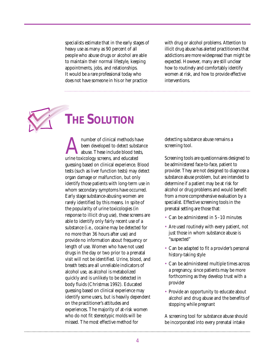specialists estimate that in the early stages of heavy use as many as 90 percent of all people who abuse drugs or alcohol are able to maintain their normal lifestyle, keeping appointments, jobs, and relationships. It would be a rare professional today who does not have someone in his or her practice

with drug or alcohol problems. Attention to illicit drug abuse has alerted practitioners that addictions are more widespread than might be expected. However, many are still unclear how to routinely and comfortably identify women at risk, and how to provide effective interventions.



## **THE SOLUTION**

number of clinical methods have<br>been developed to detect substan<br>abuse. These include blood tests,<br>urine toxicology screens, and educated been developed to detect substance abuse. These include blood tests, guessing based on clinical experience. Blood tests (such as liver function tests) may detect organ damage or malfunction, but only identify those patients with long-term use in whom secondary symptoms have occurred. Early stage substance-abusing women are rarely identified by this means. In spite of the popularity of urine toxicologies (in response to illicit drug use), these screens are able to identify only fairly recent use of a substance (i.e., cocaine may be detected for no more than 36 hours after use) and provide no information about frequency or length of use. Women who have not used drugs in the day or two prior to a prenatal visit will not be identified. Urine, blood, and breath tests are all unreliable indicators of alcohol use, as alcohol is metabolized quickly and is unlikely to be detected in body fluids (Christmas 1992). Educated guessing based on clinical experience may identify some users, but is heavily dependent on the practitioner's attitudes and experiences. The majority of at-risk women who do not fit stereotypic molds will be missed. The most effective method for

detecting substance abuse remains a screening tool.

Screening tools are questionnaires designed to be administered face-to-face, patient to provider. They are not designed to diagnose a substance abuse problem, but are intended to determine if a patient may be at risk for alcohol or drug problems and would benefit from a more comprehensive evaluation by a specialist. Effective screening tools in the prenatal setting are those that:

- Can be administered in 5–10 minutes
- Are used routinely with every patient, not just those in whom substance abuse is "suspected"
- Can be adapted to fit a provider's personal history-taking style
- Can be administered multiple times across a pregnancy, since patients may be more forthcoming as they develop trust with a provider
- Provide an opportunity to educate about alcohol and drug abuse and the benefits of stopping while pregnant

A screening tool for substance abuse should be incorporated into every prenatal intake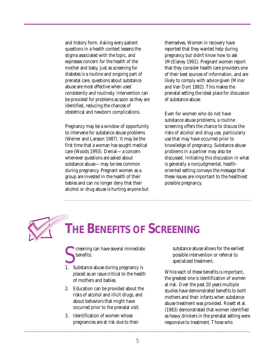and history form. Asking *every* patient questions in a health context lessens the stigma associated with the topic, and expresses concern for the health of the mother and baby. Just as screening for diabetes is a routine and ongoing part of prenatal care, questions about substance abuse are most effective when used consistently and routinely. Intervention can be provided for problems as soon as they are identified, reducing the chances of obstetrical and newborn complications.

Pregnancy may be a window of opportunity to intervene for substance abuse problems (Weiner and Larsson 1987). It may be the first time that a woman has sought medical care (Woods 1993). Denial—a concern whenever questions are asked about substance abuse—may be less common during pregnancy. Pregnant women as a group are invested in the health of their babies and can no longer deny that their alcohol or drug abuse is hurting anyone but

themselves. Women in recovery have reported that they wanted help during pregnancy but didn't know how to ask (McElaney 1991). Pregnant women report that they consider health care providers one of their best sources of information, and are likely to comply with advice given (Minor and Van Dort 1982). This makes the prenatal setting the ideal place for discussion of substance abuse.

Even for women who do not have substance abuse problems, a routine screening offers the chance to discuss the risks of alcohol and drug use, particularly use that may have occurred prior to knowledge of pregnancy. Substance abuse problems in a partner may also be discussed. Initiating this discussion in what is generally a nonjudgmental, healthoriented setting conveys the message that these issues are important to the healthiest possible pregnancy.



# **THE BENEFITS OF SCREENING**

- Substance abuse during pregnancy is<br>
1. Substance abuse during pregnancy is creening can have several immediate benefits:
- placed as an issue critical to the health of mothers and babies.
- 2. Education can be provided about the risks of alcohol and illicit drugs, and about behaviors that might have occurred prior to the prenatal visit.
- 3. Identification of women whose pregnancies are at risk due to their

substance abuse allows for the earliest possible intervention or referral to specialized treatment.

While each of these benefits is important, the greatest one is identification of women at risk. Over the past 20 years multiple studies have demonstrated benefits to both mothers and their infants when substance abuse treatment was provided. Rosett et al. (1983) demonstrated that women identified as heavy drinkers in the prenatal setting were responsive to treatment. Those who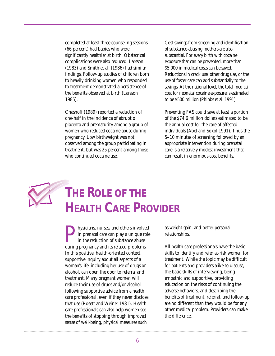completed at least three counseling sessions (66 percent) had babies who were significantly healthier at birth. Obstetrical complications were also reduced. Larsson (1983) and Smith et al. (1986) had similar findings. Follow-up studies of children born to heavily drinking women who responded to treatment demonstrated a persistence of the benefits observed at birth (Larsson 1985).

Chasnoff (1989) reported a reduction of one-half in the incidence of abruptio placenta and prematurity among a group of women who reduced cocaine abuse during pregnancy. Low birthweight was not observed among the group participating in treatment, but was 25 percent among those who continued cocaine use.

Cost savings from screening and identification of substance-abusing mothers are also substantial. For every birth with cocaine exposure that can be prevented, more than \$5,000 in medical costs can be saved. Reductions in crack use, other drug use, or the use of foster care can add substantially to the savings. At the national level, the total medical cost for neonatal cocaine exposure is estimated to be \$500 million (Phibbs et al. 1991).

Preventing FAS could save at least a portion of the \$74.6 million dollars estimated to be the annual cost for the care of affected individuals (Abel and Sokol 1991). Thus the 5–10 minutes of screening followed by an appropriate intervention during prenatal care is a relatively modest investment that can result in enormous cost benefits.

# **THE ROLE OF THE HEALTH CARE PROVIDER**

**Physicians, nurses, and others involved**<br>in prenatal care can play a unique role<br>in the reduction of substance abuse<br>during pregnancy and its related problems. in prenatal care can play a unique role in the reduction of substance abuse during pregnancy and its related problems. In this positive, health-oriented context, supportive inquiry about all aspects of a woman's life, including her use of drugs or alcohol, can open the door to referral and treatment. Many pregnant women will reduce their use of drugs and/or alcohol following supportive advice from a health care professional, even if they never disclose that use (Rosett and Weiner 1981). Health care professionals can also help women see the benefits of stopping through improved sense of well-being, physical measures such

as weight gain, and better personal relationships.

All health care professionals have the basic skills to identify and refer at-risk women for treatment. While the topic may be difficult for patients and providers alike to discuss, the basic skills of interviewing, being empathic and supportive, providing education on the risks of continuing the adverse behaviors, and describing the benefits of treatment, referral, and follow-up are no different than they would be for any other medical problem. Providers can make the difference.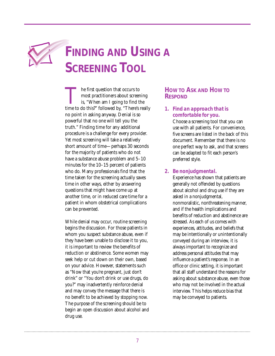# **FINDING AND USING A SCREENING TOOL**

The first question that occurs to<br>most practitioners about screening<br>is, "When am I going to find the<br>time to do this?" followed by, "There's really most practitioners about screening is, "When am I going to find the no point in asking anyway. Denial is so powerful that no one will tell you the truth." Finding time for any additional procedure is a challenge for every provider. Yet most screening will take a relatively short amount of time—perhaps 30 seconds for the majority of patients who do not have a substance abuse problem and  $5-10$ minutes for the 10–15 percent of patients who do. Many professionals find that the time taken for the screening actually saves time in other ways, either by answering questions that might have come up at another time, or in reduced care time for a patient in whom obstetrical complications can be prevented.

While denial may occur, routine screening begins the discussion. For those patients in whom you suspect substance abuse, even if they have been unable to disclose it to you, it is important to review the benefits of reduction or abstinence. Some women may seek help or cut down on their own, based on your advice. However, statements such as "Now that you're pregnant, just don't drink" or "You don't drink or use drugs, do you?" may inadvertently reinforce denial and may convey the message that there is no benefit to be achieved by stopping now. The purpose of the screening should be to begin an open discussion about alcohol and drug use.

#### **HOW TO ASK AND HOW TO RESPOND**

#### *1. Find an approach that is comfortable for you.*

Choose a screening tool that you can use with all patients. For convenience, five screens are listed in the back of this document. Remember that there is no one perfect way to ask, and that screens can be adapted to fit each person's preferred style.

#### *2. Be nonjudgmental.*

Experience has shown that patients are generally not offended by questions about alcohol and drug use if they are asked in a nonjudgmental, nonmoralistic, nonthreatening manner, and if the health implications and benefits of reduction and abstinence are stressed. As each of us comes with experiences, attitudes, and beliefs that may be intentionally or unintentionally conveyed during an interview, it is always important to recognize and address personal attitudes that may influence a patient's response. In an office or clinic setting, it is important that all staff understand the reasons for asking about substance abuse, even those who may not be involved in the actual interview. This helps reduce bias that may be conveyed to patients.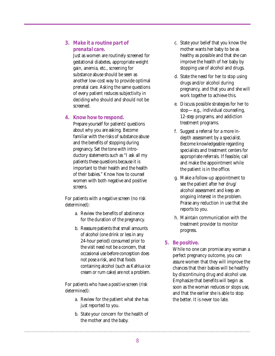#### *3. Make it a routine part of prenatal care.*

Just as women are routinely screened for gestational diabetes, appropriate weight gain, anemia, etc., screening for substance abuse should be seen as another low-cost way to provide optimal prenatal care. Asking the same questions of every patient reduces subjectivity in deciding who should and should not be screened.

#### *4. Know how to respond.*

Prepare yourself for patients' questions about why you are asking. Become familiar with the risks of substance abuse and the benefits of stopping during pregnancy. Set the tone with introductory statements such as "I ask all my patients these questions because it is important to their health and the health of their babies." Know how to counsel women with both negative and positive screens.

For patients with a *negative* screen (no risk determined):

- a. Review the benefits of abstinence for the duration of the pregnancy.
- b. Reassure patients that small amounts of alcohol (one drink or less in any 24-hour period) consumed prior to the visit need not be a concern, that occasional use before conception does not pose a risk, and that foods containing alcohol (such as Kahlua ice cream or rum cake) are not a problem.

For patients who have a *positive* screen (risk determined):

- a. Review for the patient what she has just reported to you.
- b. State your concern for the health of the mother and the baby.
- c. State your belief that you know the mother wants her baby to be as healthy as possible and that she can improve the health of her baby by stopping use of alcohol and drugs.
- d. State the need for her to stop using drugs and/or alcohol during pregnancy, and that you and she will work together to achieve this.
- e. Discuss possible strategies for her to stop—e.g., individual counseling, 12-step programs, and addiction treatment programs.
- f. Suggest a referral for a more indepth assessment by a specialist. Become knowledgeable regarding specialists and treatment centers for appropriate referrals. If feasible, call and make the appointment while the patient is in the office.
- g. Make a follow-up appointment to see the patient after her drug/ alcohol assessment and keep an ongoing interest in the problem. Praise any reduction in use that she reports to you.
- h. Maintain communication with the treatment provider to monitor progress.

#### *5. Be positive.*

While no one can promise any woman a perfect pregnancy outcome, you can assure women that they will improve the chances that their babies will be healthy by discontinuing drug and alcohol use. Emphasize that benefits will begin as soon as the woman reduces or stops use, and that the earlier she is able to stop the better. It is never too late.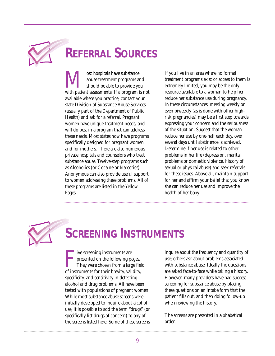

# **REFERRAL SOURCES**

We ost hospitals have substance<br>abuse treatment programs and<br>with patient assessments. If a program is not abuse treatment programs and should be able to provide you available where you practice, contact your state Division of Substance Abuse Services (usually part of the Department of Public Health) and ask for a referral. Pregnant women have unique treatment needs, and will do best in a program that can address these needs. Most states now have programs specifically designed for pregnant women and for mothers. There are also numerous private hospitals and counselors who treat substance abuse. Twelve-step programs such as Alcoholics (or Cocaine or Narcotics) Anonymous can also provide useful support to women addressing these problems. All of these programs are listed in the Yellow Pages.

If you live in an area where no formal treatment programs exist or access to them is extremely limited, you may be the only resource available to a woman to help her reduce her substance use during pregnancy. In these circumstances, meeting weekly or even biweekly (as is done with other highrisk pregnancies) may be a first step towards expressing your concern and the seriousness of the situation. Suggest that the woman reduce her use by one-half each day, over several days until abstinence is achieved. Determine if her use is related to other problems in her life (depression, marital problems or domestic violence, history of sexual or physical abuse) and seek referrals for these issues. Above all, maintain support for her and affirm your belief that you know she can reduce her use and improve the health of her baby.

# **SCREENING INSTRUMENTS**

Five screening instruments are<br>presented on the following pages.<br>They were chosen from a large fie<br>of instruments for their brevity, validity, ive screening instruments are presented on the following pages. They were chosen from a large field specificity, and sensitivity in detecting alcohol and drug problems. All have been tested with populations of pregnant women. While most substance abuse screens were initially developed to inquire about alcohol use, it is possible to add the term "drugs" (or specifically list drugs of concern) to any of the screens listed here. Some of these screens

inquire about the frequency and quantity of use; others ask about problems associated with substance abuse. Ideally the questions are asked face-to-face while taking a history. However, many providers have had success screening for substance abuse by placing these questions on an intake form that the patient fills out, and then doing follow-up when reviewing the history.

The screens are presented in alphabetical order.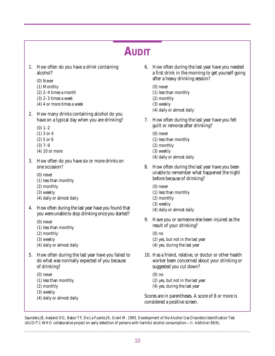### **AUDIT**

- 1. How often do you have a drink containing alcohol?
	- (0) Never
	- (1) Monthly
	- (2) 2–4 times a month
	- (3) 2–3 times a week
	- (4) 4 or more times a week
- 2. How many drinks containing alcohol do you have on a typical day when you are drinking?
	- $(0)$  1–2
	- (1) 3 or 4
	- (2) 5 or 6
	- (3) 7–9
	- (4) 10 or more
- 3. How often do you have six or more drinks on one occasion?
	- (0) never
	- (1) less than monthly
	- (2) monthly
	- (3) weekly
	- (4) daily or almost daily
- 4. How often during the last year have you found that you were unable to stop drinking once you started?
	- (0) never
	- (1) less than monthly
	- (2) monthly
	- (3) weekly
	- (4) daily or almost daily
- 5. How often during the last year have you failed to do what was normally expected of you because of drinking?
	- (0) never
	- (1) less than monthly
	- (2) monthly
	- (3) weekly
	- (4) daily or almost daily
- 6. How often during the last year have you needed a first drink in the morning to get yourself going after a heavy drinking session?
	- (0) never
	- (1) less than monthly
	- (2) monthly
	- (3) weekly
	- (4) daily or almost daily
- 7. How often during the last year have you felt guilt or remorse after drinking?
	- (0) never
	- (1) less than monthly
	- (2) monthly
	- (3) weekly
	- (4) daily or almost daily
- 8. How often during the last year have you been unable to remember what happened the night before because of drinking?
	- (0) never
	- (1) less than monthly
	- (2) monthly
	- (3) weekly
	- (4) daily or almost daily
- 9. Have you or someone else been injured as the result of your drinking?
	- (0) no
	- (2) yes, but not in the last year
	- (4) yes, during the last year
- 10. Has a friend, relative, or doctor or other health worker been concerned about your drinking or suggested you cut down?
	- (0) no
	- (2) yes, but not in the last year
	- (4) yes, during the last year

Scores are in parentheses. A score of 8 or more is considered a positive screen.

Saunders JB, Aasland OG, Babor TF, De La Fuente JR, Grant M. 1993. Development of the Alcohol Use Disorders Identification Test (AUDIT): WHO collaborative project on early detection of persons with harmful alcohol consumption—II. *Addiction 88(6).*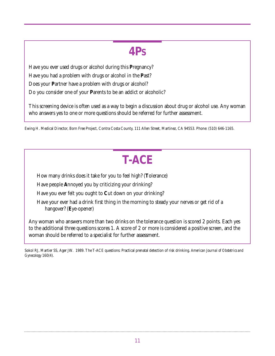### **4PS**

Have you ever used drugs or alcohol during this **P**regnancy? Have you had a problem with drugs or alcohol in the **P**ast? Does your **P**artner have a problem with drugs or alcohol? Do you consider one of your **P**arents to be an addict or alcoholic?

This screening device is often used as a way to begin a discussion about drug or alcohol use. Any woman who answers yes to one or more questions should be referred for further assessment.

Ewing H. Medical Director, Born Free Project, Contra Costa County, 111 Allen Street, Martinez, CA 94553. Phone: (510) 646-1165.

## **T-ACE**

How many drinks does it take for you to feel high? (**T**olerance)

Have people **A**nnoyed you by criticizing your drinking?

Have you ever felt you ought to **C**ut down on your drinking?

Have your ever had a drink first thing in the morning to steady your nerves or get rid of a hangover? (**E**ye-opener)

Any woman who answers more than two drinks on the tolerance question is scored 2 points. Each yes to the additional three questions scores 1. A score of 2 or more is considered a positive screen, and the woman should be referred to a specialist for further assessment.

Sokol RJ, Martier SS, Ager JW. 1989. The T-ACE questions: Practical prenatal detection of risk drinking. *American Journal of Obstetrics and Gynecology* 160(4).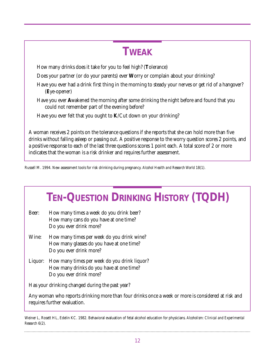### **TWEAK**

How many drinks does it take for you to feel high? (**T**olerance)

Does your partner (or do your parents) ever **W**orry or complain about your drinking?

- Have you ever had a drink first thing in the morning to steady your nerves or get rid of a hangover? (**E**ye-opener)
- Have you ever **A**wakened the morning after some drinking the night before and found that you could not remember part of the evening before?

Have you ever felt that you ought to **K**/Cut down on your drinking?

A woman receives 2 points on the tolerance questions if she reports that she can hold more than five drinks without falling asleep or passing out. A positive response to the worry question scores 2 points, and a positive response to each of the last three questions scores 1 point each. A total score of 2 or more indicates that the woman is a risk drinker and requires further assessment.

Russell M. 1994. New assessment tools for risk drinking during pregnancy. *Alcohol Health and Research World* 18(1).

## **TEN-QUESTION DRINKING HISTORY (TQDH)**

- Beer: How many times a week do you drink beer? How many cans do you have at one time? Do you ever drink more?
- Wine: How many times per week do you drink wine? How many glasses do you have at one time? Do you ever drink more?
- Liquor: How many times per week do you drink liquor? How many drinks do you have at one time? Do you ever drink more?

Has your drinking changed during the past year?

Any woman who reports drinking more than four drinks once a week or more is considered at risk and requires further evaluation.

Weiner L, Rosett HL, Edelin KC. 1982. Behavioral evaluation of fetal alcohol education for physicians. *Alcoholism: Clinical and Experimental Research* 6(2).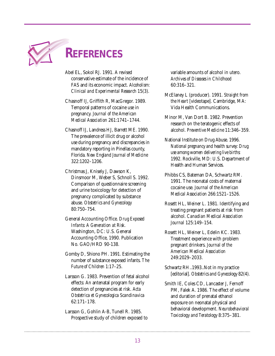

## **REFERENCES**

- Abel EL, Sokol RJ. 1991. A revised conservative estimate of the incidence of FAS and its economic impact. *Alcoholism: Clinical and Experimental Research* 15(3).
- Chasnoff IJ, Griffith R, MacGregor. 1989. Temporal patterns of cocaine use in pregnancy. *Journal of the American Medical Association* 261:1741–1744.
- Chasnoff IJ, Landress HJ, Barrett ME. 1990. The prevalence of illicit drug or alcohol use during pregnancy and discrepancies in mandatory reporting in Pinellas county, Florida. *New England Journal of Medicine* 322:1202–1206.
- Christmas J, Knisely J, Dawson K, Dinsmoor M, Weber S, Schnoll S. 1992. Comparison of questionnaire screening and urine toxicology for detection of pregnancy complicated by substance abuse. *Obstetrics and Gynecology* 80:750–754.
- General Accounting Office. *Drug Exposed Infants: A Generation at Risk.* Washington, DC: U.S. General Accounting Office, 1990. Publication No. GAO/HRD 90-138.
- Gomby D, Shiono PH. 1991. Estimating the number of substance exposed infants. *The Future of Children* 1:17–25.
- Larsson G. 1983. Prevention of fetal alcohol effects: An antenatal program for early detection of pregnancies at risk. *Acta Obstetrica et Gynecologica Scandinavica* 62:171–178.
- Larsson G, Gohlin A-B, Tunell R. 1985. Prospective study of children exposed to

variable amounts of alcohol in utero. *Archives of Diseases in Childhood* 60:316–321.

- McElaney L (producer). 1991. *Straight from the Heart* [videotape]. Cambridge, MA: Vida Health Communications.
- Minor M, Van Dort B. 1982. Prevention research on the teratogenic effects of alcohol. *Preventive Medicine* 11:346–359.
- National Institute on Drug Abuse. 1996. *National pregnancy and health survey: Drug use among women delivering live births:* 1992. Rockville, MD: U.S. Department of Health and Human Services.
- Phibbs CS, Bateman DA, Schwartz RM. 1991. The neonatal costs of maternal cocaine use. *Journal of the American Medical Association* 266:1521–1526.
- Rosett HL, Weiner L. 1981. Identifying and treating pregnant patients at risk from alcohol. *Canadian Medical Association Journal* 125:149–154.
- Rosett HL, Weiner L, Edelin KC. 1983. Treatment experience with problem pregnant drinkers. *Journal of the American Medical Association* 249:2029–2033.
- Schwartz RH..1993..Not in my practice [editorial]. *Obstetrics and Gynecology* 82(4).
- Smith IE, Coles CD, Lancaster J, Fernoff PM, Falek A. 1986. The effect of volume and duration of prenatal ethanol exposure on neonatal physical and behavioral development. *Neurobehavioral Toxicology and Teratology* 8:375–381.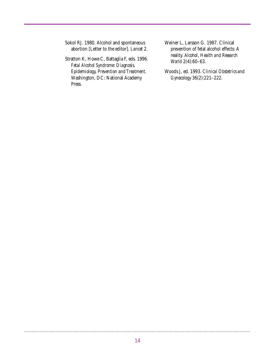Sokol RJ. 1980. Alcohol and spontaneous abortion [Letter to the editor]. *Lancet* 2.

Stratton K, Howe C, Battaglia F, eds. 1996. *Fetal Alcohol Syndrome: Diagnosis, Epidemiology, Prevention and Treatment.* Washington, DC: National Academy Press.

Weiner L, Larsson G. 1987. Clinical prevention of fetal alcohol effects: A reality. *Alcohol, Health and Research World* 2(4):60–63.

Woods J, ed. 1993. *Clinical Obstetrics and Gynecology* 36(2):221–222.